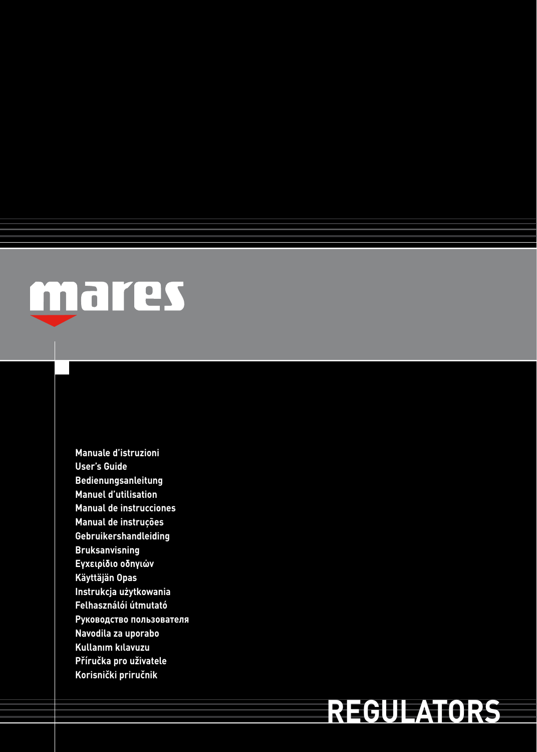

**Manuale d'istruzioni User's Guide Bedienungsanleitung Manuel d'utilisation Manual de instrucciones Manual de instruções Gebruikershandleiding Bruksanvisning Εγχειρίδιο οδηγιών Käyttäjän Opas Instrukcja użytkowania Felhasználói útmutató Руководство пользователя Navodila za uporabo Kullanım kılavuzu Příručka pro uživatele Korisnički priručnik**

# **REGULATORS**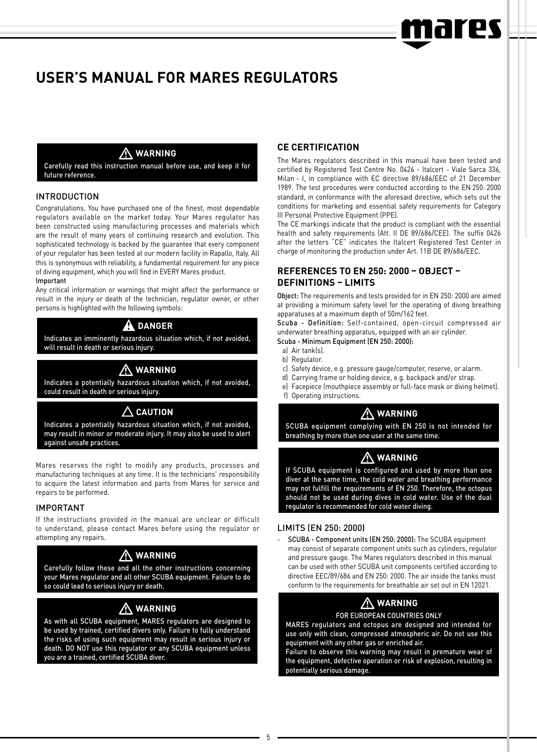# rpc

# **USER'S MANUAL FOR MARES REGULATORS**

#### **WARNING**

Carefully read this instruction manual before use, and keep it for future reference.

#### INTRODUCTION

Congratulations. You have purchased one of the finest, most dependable regulators available on the market today. Your Mares regulator has been constructed using manufacturing processes and materials which are the result of many years of continuing research and evolution. This sophisticated technology is backed by the guarantee that every component of your regulator has been tested at our modern facility in Rapallo, Italy. All this is synonymous with reliability, a fundamental requirement for any piece of diving equipment, which you will find in EVERY Mares product. Important

Any critical information or warnings that might affect the performance or result in the injury or death of the technician, regulator owner, or other persons is highlighted with the following symbols:

#### **danger**

Indicates an imminently hazardous situation which, if not avoided, will result in death or serious injury.

# **WARNING**

Indicates a potentially hazardous situation which, if not avoided, could result in death or serious injury.

### **CAUTION**

Indicates a potentially hazardous situation which, if not avoided, may result in minor or moderate injury. It may also be used to alert against unsafe practices.

Mares reserves the right to modify any products, processes and manufacturing techniques at any time. It is the technicians' responsibility to acquire the latest information and parts from Mares for service and repairs to be performed.

#### IMPORTANT

If the instructions provided in the manual are unclear or difficult to understand, please contact Mares before using the regulator or attempting any repairs.

# **WARNING**

Carefully follow these and all the other instructions concerning your Mares regulator and all other SCUBA equipment. Failure to do so could lead to serious injury or death.

# **WARNING**

As with all SCUBA equipment, MARES regulators are designed to be used by trained, certified divers only. Failure to fully understand the risks of using such equipment may result in serious injury or death. DO NOT use this regulator or any SCUBA equipment unless you are a trained, certified SCUBA diver.

#### **CE CERTIFICATION**

The Mares regulators described in this manual have been tested and certified by Registered Test Centre No. 0426 - Italcert - Viale Sarca 336, Milan - I, in compliance with EC directive 89/686/EEC of 21 December 1989. The test procedures were conducted according to the EN 250: 2000 standard, in conformance with the aforesaid directive, which sets out the conditions for marketing and essential safety requirements for Category III Personal Protective Equipment (PPE).

The CE markings indicate that the product is compliant with the essential health and safety requirements (Att. II DE 89/686/CEE). The suffix 0426 after the letters "CE" indicates the Italcert Registered Test Center in charge of monitoring the production under Art. 11B DE 89/686/EEC.

#### **REFERENCES TO EN 250: 2000 – OBJECT – DEFINITIONS – LIMITS**

Object: The requirements and tests provided for in EN 250: 2000 are aimed at providing a minimum safety level for the operating of diving breathing apparatuses at a maximum depth of 50m/162 feet.

Scuba - Definition: Self-contained, open-circuit compressed air underwater breathing apparatus, equipped with an air cylinder. Scuba - Minimum Equipment (EN 250: 2000):

- a) Air tank(s).
- b) Regulator.
- c) Safety device, e.g. pressure gauge/computer, reserve, or alarm.
- d) Carrying frame or holding device, e.g. backpack and/or strap.
- e) Facepiece (mouthpiece assembly or full-face mask or diving helmet).
- f) Operating instructions.

# **WARNING**

SCUBA equipment complying with EN 250 is not intended for breathing by more than one user at the same time.

# **WARNING**

If SCUBA equipment is configured and used by more than one diver at the same time, the cold water and breathing performance may not fulfill the requirements of EN 250. Therefore, the octopus should not be used during dives in cold water. Use of the dual regulator is recommended for cold water diving.

#### Limits (EN 250: 2000)

- SCUBA - Component units (EN 250: 2000): The SCUBA equipment may consist of separate component units such as cylinders, regulator and pressure gauge. The Mares regulators described in this manual can be used with other SCUBA unit components certified according to directive EEC/89/686 and EN 250: 2000. The air inside the tanks must conform to the requirements for breathable air set out in EN 12021.

# **WARNING**

#### FOR EUROPEAN COUNTRIES ONLY

MARES regulators and octopus are designed and intended for use only with clean, compressed atmospheric air. Do not use this equipment with any other gas or enriched air.

Failure to observe this warning may result in premature wear of the equipment, defective operation or risk of explosion, resulting in potentially serious damage.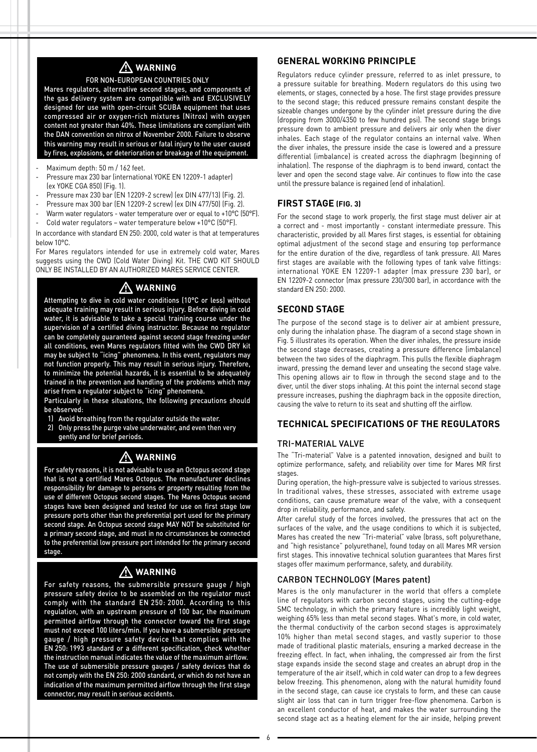# **WARNING**

#### FOR NON-EUROPEAN COUNTRIES ONLY

Mares regulators, alternative second stages, and components of the gas delivery system are compatible with and EXCLUSIVELY designed for use with open-circuit SCUBA equipment that uses compressed air or oxygen-rich mixtures (Nitrox) with oxygen content not greater than 40%. These limitations are compliant with the DAN convention on nitrox of November 2000. Failure to observe this warning may result in serious or fatal injury to the user caused by fires, explosions, or deterioration or breakage of the equipment.

- Maximum depth: 50 m / 162 feet.
- Pressure max 230 bar (international YOKE EN 12209-1 adapter) (ex YOKE CGA 850) (Fig. 1).
- Pressure max 230 bar (EN 12209-2 screw) (ex DIN 477/13) (Fig. 2).
- Pressure max 300 bar (EN 12209-2 screw) (ex DIN 477/50) (Fig. 2).
- Warm water regulators water temperature over or equal to +10°C (50°F).
- Cold water regulators water temperature below +10°C (50°F).

In accordance with standard EN 250: 2000, cold water is that at temperatures below 10°C.

For Mares regulators intended for use in extremely cold water, Mares suggests using the CWD (Cold Water Diving) Kit. THE CWD KIT SHOULD ONLY BE INSTALLED BY AN AUTHORIZED MARES SERVICE CENTER.

### **WARNING**

Attempting to dive in cold water conditions (10°C or less) without adequate training may result in serious injury. Before diving in cold water, it is advisable to take a special training course under the supervision of a certified diving instructor. Because no regulator can be completely guaranteed against second stage freezing under all conditions, even Mares regulators fitted with the CWD DRY kit may be subject to "icing" phenomena. In this event, regulators may not function properly. This may result in serious injury. Therefore, to minimize the potential hazards, it is essential to be adequately trained in the prevention and handling of the problems which may arise from a regulator subject to "icing" phenomena.

Particularly in these situations, the following precautions should be observed:

- 1) Avoid breathing from the regulator outside the water.
- 2) Only press the purge valve underwater, and even then very gently and for brief periods.

# **WARNING**

For safety reasons, it is not advisable to use an Octopus second stage that is not a certified Mares Octopus. The manufacturer declines responsibility for damage to persons or property resulting from the use of different Octopus second stages. The Mares Octopus second stages have been designed and tested for use on first stage low pressure ports other than the preferential port used for the primary second stage. An Octopus second stage MAY NOT be substituted for a primary second stage, and must in no circumstances be connected to the preferential low pressure port intended for the primary second stage.

# **WARNING**

For safety reasons, the submersible pressure gauge / high pressure safety device to be assembled on the regulator must comply with the standard EN 250: 2000. According to this regulation, with an upstream pressure of 100 bar, the maximum permitted airflow through the connector toward the first stage must not exceed 100 liters/min. If you have a submersible pressure gauge / high pressure safety device that complies with the EN 250: 1993 standard or a different specification, check whether the instruction manual indicates the value of the maximum airflow. The use of submersible pressure gauges / safety devices that do not comply with the EN 250: 2000 standard, or which do not have an indication of the maximum permitted airflow through the first stage connector, may result in serious accidents.

#### **GENERAL WORKING PRINCIPLE**

Regulators reduce cylinder pressure, referred to as inlet pressure, to a pressure suitable for breathing. Modern regulators do this using two elements, or stages, connected by a hose. The first stage provides pressure to the second stage; this reduced pressure remains constant despite the sizeable changes undergone by the cylinder inlet pressure during the dive (dropping from 3000/4350 to few hundred psi). The second stage brings pressure down to ambient pressure and delivers air only when the diver inhales. Each stage of the regulator contains an internal valve. When the diver inhales, the pressure inside the case is lowered and a pressure differential (imbalance) is created across the diaphragm (beginning of inhalation). The response of the diaphragm is to bend inward, contact the lever and open the second stage valve. Air continues to flow into the case until the pressure balance is regained (end of inhalation).

#### **FIRST STAGE (Fig. 3)**

For the second stage to work properly, the first stage must deliver air at a correct and - most importantly - constant intermediate pressure. This characteristic, provided by all Mares first stages, is essential for obtaining optimal adjustment of the second stage and ensuring top performance for the entire duration of the dive, regardless of tank pressure. All Mares first stages are available with the following types of tank valve fittings: international YOKE EN 12209-1 adapter (max pressure 230 bar), or EN 12209-2 connector (max pressure 230/300 bar), in accordance with the standard EN 250: 2000.

#### **SECOND STAGE**

The purpose of the second stage is to deliver air at ambient pressure, only during the inhalation phase. The diagram of a second stage shown in Fig. 5 illustrates its operation. When the diver inhales, the pressure inside the second stage decreases, creating a pressure difference (imbalance) between the two sides of the diaphragm. This pulls the flexible diaphragm inward, pressing the demand lever and unseating the second stage valve. This opening allows air to flow in through the second stage and to the diver, until the diver stops inhaling. At this point the internal second stage pressure increases, pushing the diaphragm back in the opposite direction, causing the valve to return to its seat and shutting off the airflow.

#### **TECHNICAL SPECIFICATIONS OF THE REGULATORS**

#### TRI-MATERIAL VALVE

The "Tri-material" Valve is a patented innovation, designed and built to optimize performance, safety, and reliability over time for Mares MR first stages.

During operation, the high-pressure valve is subjected to various stresses. In traditional valves, these stresses, associated with extreme usage conditions, can cause premature wear of the valve, with a consequent drop in reliability, performance, and safety.

After careful study of the forces involved, the pressures that act on the surfaces of the valve, and the usage conditions to which it is subjected, Mares has created the new "Tri-material" valve (brass, soft polyurethane, and "high resistance" polyurethane), found today on all Mares MR version first stages. This innovative technical solution guarantees that Mares first stages offer maximum performance, safety, and durability.

#### CARBON TECHNOLOGY (Mares patent)

Mares is the only manufacturer in the world that offers a complete line of regulators with carbon second stages, using the cutting-edge SMC technology, in which the primary feature is incredibly light weight, weighing 65% less than metal second stages. What's more, in cold water, the thermal conductivity of the carbon second stages is approximately 10% higher than metal second stages, and vastly superior to those made of traditional plastic materials, ensuring a marked decrease in the freezing effect. In fact, when inhaling, the compressed air from the first stage expands inside the second stage and creates an abrupt drop in the temperature of the air itself, which in cold water can drop to a few degrees below freezing. This phenomenon, along with the natural humidity found in the second stage, can cause ice crystals to form, and these can cause slight air loss that can in turn trigger free-flow phenomena. Carbon is an excellent conductor of heat, and makes the water surrounding the second stage act as a heating element for the air inside, helping prevent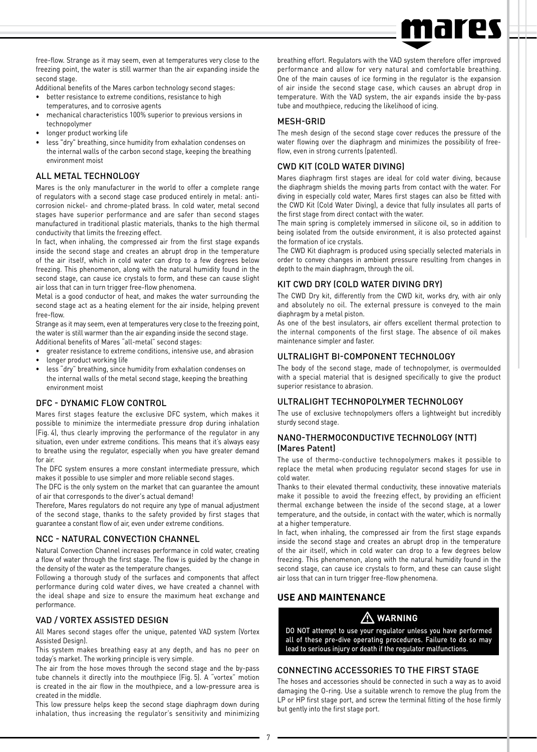

free-flow. Strange as it may seem, even at temperatures very close to the freezing point, the water is still warmer than the air expanding inside the second stage.

Additional benefits of the Mares carbon technology second stages:

- better resistance to extreme conditions, resistance to high temperatures, and to corrosive agents
- mechanical characteristics 100% superior to previous versions in technopolymer
- longer product working life
- less "dry" breathing, since humidity from exhalation condenses on the internal walls of the carbon second stage, keeping the breathing environment moist

#### ALL METAL TECHNOLOGY

Mares is the only manufacturer in the world to offer a complete range of regulators with a second stage case produced entirely in metal: anticorrosion nickel- and chrome-plated brass. In cold water, metal second stages have superior performance and are safer than second stages manufactured in traditional plastic materials, thanks to the high thermal conductivity that limits the freezing effect.

In fact, when inhaling, the compressed air from the first stage expands inside the second stage and creates an abrupt drop in the temperature of the air itself, which in cold water can drop to a few degrees below freezing. This phenomenon, along with the natural humidity found in the second stage, can cause ice crystals to form, and these can cause slight air loss that can in turn trigger free-flow phenomena.

Metal is a good conductor of heat, and makes the water surrounding the second stage act as a heating element for the air inside, helping prevent free-flow.

Strange as it may seem, even at temperatures very close to the freezing point, the water is still warmer than the air expanding inside the second stage. Additional benefits of Mares "all-metal" second stages:

- greater resistance to extreme conditions, intensive use, and abrasion
- longer product working life
- less "dry" breathing, since humidity from exhalation condenses on the internal walls of the metal second stage, keeping the breathing environment moist

#### DFC - DYNAMIC FLOW CONTROL

Mares first stages feature the exclusive DFC system, which makes it possible to minimize the intermediate pressure drop during inhalation (Fig. 4), thus clearly improving the performance of the regulator in any situation, even under extreme conditions. This means that it's always easy to breathe using the regulator, especially when you have greater demand for air.

The DFC system ensures a more constant intermediate pressure, which makes it possible to use simpler and more reliable second stages.

The DFC is the only system on the market that can guarantee the amount of air that corresponds to the diver's actual demand!

Therefore, Mares regulators do not require any type of manual adjustment of the second stage, thanks to the safety provided by first stages that guarantee a constant flow of air, even under extreme conditions.

#### NCC - NATURAL CONVECTION CHANNEL

Natural Convection Channel increases performance in cold water, creating a flow of water through the first stage. The flow is guided by the change in the density of the water as the temperature changes.

Following a thorough study of the surfaces and components that affect performance during cold water dives, we have created a channel with the ideal shape and size to ensure the maximum heat exchange and performance.

#### VAD / VORTEX ASSISTED DESIGN

All Mares second stages offer the unique, patented VAD system (Vortex Assisted Design).

This system makes breathing easy at any depth, and has no peer on today's market. The working principle is very simple.

The air from the hose moves through the second stage and the by-pass tube channels it directly into the mouthpiece (Fig. 5). A "vortex" motion is created in the air flow in the mouthpiece, and a low-pressure area is created in the middle.

This low pressure helps keep the second stage diaphragm down during inhalation, thus increasing the regulator's sensitivity and minimizing breathing effort. Regulators with the VAD system therefore offer improved performance and allow for very natural and comfortable breathing. One of the main causes of ice forming in the regulator is the expansion of air inside the second stage case, which causes an abrupt drop in temperature. With the VAD system, the air expands inside the by-pass tube and mouthpiece, reducing the likelihood of icing.

#### MESH-GRID

The mesh design of the second stage cover reduces the pressure of the water flowing over the diaphragm and minimizes the possibility of freeflow, even in strong currents (patented).

#### CWD KIT (COLD WATER DIVING)

Mares diaphragm first stages are ideal for cold water diving, because the diaphragm shields the moving parts from contact with the water. For diving in especially cold water, Mares first stages can also be fitted with the CWD Kit (Cold Water Diving), a device that fully insulates all parts of the first stage from direct contact with the water.

The main spring is completely immersed in silicone oil, so in addition to being isolated from the outside environment, it is also protected against the formation of ice crystals.

The CWD Kit diaphragm is produced using specially selected materials in order to convey changes in ambient pressure resulting from changes in depth to the main diaphragm, through the oil.

#### KIT CWD DRY (COLD WATER DIVING DRY)

The CWD Dry kit, differently from the CWD kit, works dry, with air only and absolutely no oil. The external pressure is conveyed to the main diaphragm by a metal piston.

As one of the best insulators, air offers excellent thermal protection to the internal components of the first stage. The absence of oil makes maintenance simpler and faster.

#### ULTRALIGHT BI-COMPONENT TECHNOLOGY

The body of the second stage, made of technopolymer, is overmoulded with a special material that is designed specifically to give the product superior resistance to abrasion.

#### ULTRALIGHT TECHNOPOLYMER TECHNOLOGY

The use of exclusive technopolymers offers a lightweight but incredibly sturdy second stage.

#### NANO-THERMOCONDUCTIVE TECHNOLOGY (NTT) (Mares Patent)

The use of thermo-conductive technopolymers makes it possible to replace the metal when producing regulator second stages for use in cold water.

Thanks to their elevated thermal conductivity, these innovative materials make it possible to avoid the freezing effect, by providing an efficient thermal exchange between the inside of the second stage, at a lower temperature, and the outside, in contact with the water, which is normally at a higher temperature.

In fact, when inhaling, the compressed air from the first stage expands inside the second stage and creates an abrupt drop in the temperature of the air itself, which in cold water can drop to a few degrees below freezing. This phenomenon, along with the natural humidity found in the second stage, can cause ice crystals to form, and these can cause slight air loss that can in turn trigger free-flow phenomena.

#### **USE AND MAINTENANCE**

### **WARNING**

DO NOT attempt to use your regulator unless you have performed all of these pre-dive operating procedures. Failure to do so may lead to serious injury or death if the regulator malfunctions.

#### Connecting accessories to the first stage

The hoses and accessories should be connected in such a way as to avoid damaging the O-ring. Use a suitable wrench to remove the plug from the LP or HP first stage port, and screw the terminal fitting of the hose firmly but gently into the first stage port.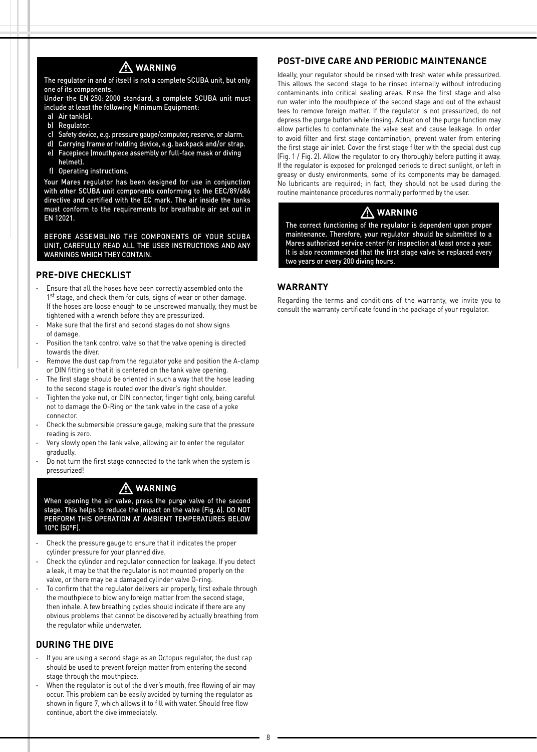

The regulator in and of itself is not a complete SCUBA unit, but only one of its components.

Under the EN 250: 2000 standard, a complete SCUBA unit must include at least the following Minimum Equipment:

- a) Air tank(s).
- b) Regulator.
- c) Safety device, e.g. pressure gauge/computer, reserve, or alarm.
- d) Carrying frame or holding device, e.g. backpack and/or strap.
- e) Facepiece (mouthpiece assembly or full-face mask or diving helmet).
- f) Operating instructions.

Your Mares regulator has been designed for use in conjunction with other SCUBA unit components conforming to the EEC/89/686 directive and certified with the EC mark. The air inside the tanks must conform to the requirements for breathable air set out in EN 12021.

BEFORE ASSEMBLING THE COMPONENTS OF YOUR SCUBA UNIT, CAREFULLY READ ALL THE USER INSTRUCTIONS AND ANY WARNINGS WHICH THEY CONTAIN.

#### **PRE-DIVE CHECKLIST**

- Ensure that all the hoses have been correctly assembled onto the 1st stage, and check them for cuts, signs of wear or other damage. If the hoses are loose enough to be unscrewed manually, they must be tightened with a wrench before they are pressurized.
- Make sure that the first and second stages do not show signs of damage.
- Position the tank control valve so that the valve opening is directed towards the diver.
- Remove the dust cap from the regulator yoke and position the A-clamp or DIN fitting so that it is centered on the tank valve opening.
- The first stage should be oriented in such a way that the hose leading to the second stage is routed over the diver's right shoulder.
- Tighten the voke nut, or DIN connector, finger tight only, being careful not to damage the O-Ring on the tank valve in the case of a yoke connector.
- Check the submersible pressure gauge, making sure that the pressure reading is zero.
- Very slowly open the tank valve, allowing air to enter the regulator gradually.
- Do not turn the first stage connected to the tank when the system is pressurized!

### **WARNING**

When opening the air valve, press the purge valve of the second stage. This helps to reduce the impact on the valve (Fig. 6). DO NOT PERFORM THIS OPERATION AT AMBIENT TEMPERATURES BELOW 10°C (50°F).

- Check the pressure gauge to ensure that it indicates the proper cylinder pressure for your planned dive.
- Check the cylinder and regulator connection for leakage. If you detect a leak, it may be that the regulator is not mounted properly on the valve, or there may be a damaged cylinder valve O-ring.
- To confirm that the regulator delivers air properly, first exhale through the mouthpiece to blow any foreign matter from the second stage, then inhale. A few breathing cycles should indicate if there are any obvious problems that cannot be discovered by actually breathing from the regulator while underwater.

#### **DURING THE DIVE**

- If you are using a second stage as an Octopus regulator, the dust cap should be used to prevent foreign matter from entering the second stage through the mouthpiece.
- When the regulator is out of the diver's mouth, free flowing of air may occur. This problem can be easily avoided by turning the regulator as shown in figure 7, which allows it to fill with water. Should free flow continue, abort the dive immediately.

#### **POST-DIVE CARE AND PERIODIC MAINTENANCE**

Ideally, your regulator should be rinsed with fresh water while pressurized. This allows the second stage to be rinsed internally without introducing contaminants into critical sealing areas. Rinse the first stage and also run water into the mouthpiece of the second stage and out of the exhaust tees to remove foreign matter. If the regulator is not pressurized, do not depress the purge button while rinsing. Actuation of the purge function may allow particles to contaminate the valve seat and cause leakage. In order to avoid filter and first stage contamination, prevent water from entering the first stage air inlet. Cover the first stage filter with the special dust cup (Fig. 1 / Fig. 2). Allow the regulator to dry thoroughly before putting it away. If the regulator is exposed for prolonged periods to direct sunlight, or left in greasy or dusty environments, some of its components may be damaged. No lubricants are required; in fact, they should not be used during the routine maintenance procedures normally performed by the user.

# **WARNING**

The correct functioning of the regulator is dependent upon proper maintenance. Therefore, your regulator should be submitted to a Mares authorized service center for inspection at least once a year. It is also recommended that the first stage valve be replaced every two years or every 200 diving hours.

#### **WARRANTY**

Regarding the terms and conditions of the warranty, we invite you to consult the warranty certificate found in the package of your regulator.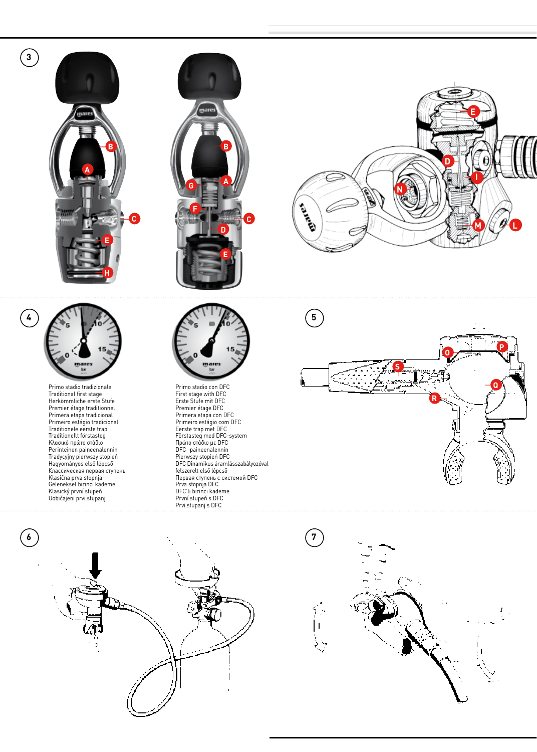**3**

 $\bigodot$ 









Primo stadio tradizionale Traditional first stage Herkömmliche erste Stufe Premier étage traditionnel Primera etapa tradicional Primeiro estágio tradicional Traditionele eerste trap Traditionellt förstasteg Κλασικό πρώτο στάδιο Perinteinen paineenalennin Tradycyjny pierwszy stopień Hagyományos első lépcső Классическая первая ступень Klasična prva stopnja Geleneksel birinci kademe Klasický první stupeň Uobičajeni prvi stupanj



Primo stadio con DFC First stage with DFC Erste Stufe mit DFC Premier étage DFC Primera etapa con DFC Primeiro estágio com DFC Eerste trap met DFC Förstasteg med DFC-system<br>Πρώτο στάδιο με DFC<br>DFC -paineenalennin<br>Pierwszy stopień DFC<br>DFC Dinamikus áramlásszabályozóval<br>felszerelt első lépcső Первая ступень с системой DFC Prva stopnja DFC DFC'li birinci kademe První stupeň s DFC Prvi stupanj s DFC

 $\sqrt{5}$ 

 $\widehat{\mathbf{z}}$ 

 $\overline{1}$ 





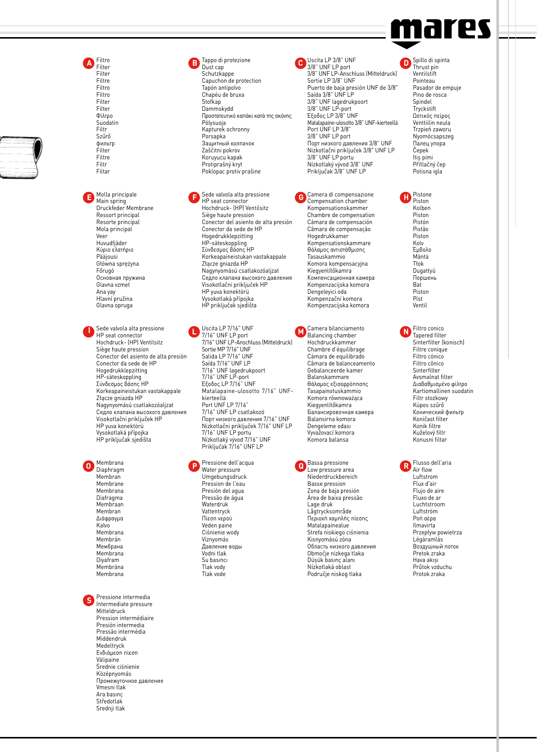

Filter Filtre Filtro Filtro Filter Filter Φίλτρο Suodatin<br>Filtr Filtr Szűrő фильтр Filter Filtre Filtr Filtar

Filtro **Filter** 

Molla principale Main spring Druckfeder Membrane Ressort principal Resorte principal

Mola principal Veer Huvudfjäder Κύριο ελατήριο Pääjousi Główna sprężyna Főrugó Основная пружина Glavna vzmet Ana yay Hlavní pružina Glavna opruga

Sede valvola alta pressione HP seat connector Hochdruck- (HP) Ventilsitz Siège haute pression Conector del asiento de alta presión Conector da sede de HP Hogedrukklepzitting HP-säteskoppling Σύνδεσμος βάσης HP Korkeapaineistukan vastakappale Złącze gniazda HP Nagynyomású csatlakozóaljzat Седло клапана высокого давления Visokotlačni priključek HP HP yuva konektörü Vysokotlaká přípojka HP priključak sjedišta **I** Sede valvola alta pressione **I** USCITE UNE LP port **II CONFIDENT** Balancing chamber **II** Best connector

Membrana Diaphragm Membran Membrane Membrana Diafragma Membraan Membran Διάφραγμα Kalvo Membrana Membrán Мембрана Membrana Diyafram Membrána Membrana

Pressione intermedia Intermediate pressure Mitteldruck Pression intermédiaire Presión intermedia Pressão intermédia Middendruk Medeltryck Ενδιάμεση πίεση Välipaine Średnie ciśnienie Középnyomás Промежуточное давление Vmesni tlak Ara basınç Středotlak Srednji tlak **S**

Tappo di protezione Dust cap Schutzkappe Capuchon de protection Tapón antipolvo Chapéu de bruxa Stofkap Dammskydd Προστατευτικό καπάκι κατά της σκόνης Pölysuoja Kapturek ochronny Porsapka . с. зараа<br>Защитный колпачок Zaščitni pokrov Koruyucu kapak Protiprašný kryt r rotiprasny kryt<br>Poklopac protiv prašine 3/8" UNF LP port 3/8" UNF LP-Anschluss (Mitteldruck) **A B C D**

Sede valvola alta pressione HP seat connector **E F G H** Hochdruck- (HP) Ventilsitz Siège haute pression Conector del asiento de alta presión Conector da sede de HP Hogedrukklepzitting HP-säteskoppling Σύνδεσμος βάσης HP Korkeapaineistukan vastakappale Złącze gniazda HP Nagynyomású csatlakozóaljzat Седло клапана высокого давления Visokotlačni priključek HP HP yuva konektörü Vysokotlaká přípojka HP priključak sjedišta

> Uscita LP 7/16" UNF 7/16" UNF LP-Anschluss (Mitteldruck) Sortie MP 7/16" UNF Salida LP 7/16" UNF Saída 7/16" UNF LP 7/16" UNF lagedrukpoort 7/16" UNF LP-port Έξοδος LP 7/16" UNF Matalapaine-ulosotto 7/16" UNFkierteellä Port UNF LP 7/16" 7/16" UNF LP csatlakozó Порт низкого давления 7/16" UNF Nizkotlačni priključek 7/16" UNF LP 7/16" UNF LP portu Nízkotlaký vývod 7/16" UNF Priključak 7/16" UNF LP

Pressione dell'acqua Umgebungsdruck Pression de l'eau Presión del agua Pressão de água Waterdruk Vattentryck Πίεση νερού Veden paine Ciśnienie wody Víznyomás ............<br>Лавление воль Vodni tlak Su basıncı Tlak vody Tlak vode

Uscita LP 3/8" UNF

Sortie LP 3/8" UNF Puerto de baja presión UNF de 3/8" Saída 3/8" UNF LP 3/8" UNF lagedrukpoort 3/8" UNF LP-port Έξοδος LP 3/8" UNF Matalapaine-ulosotto 3/8" UNF-kierteellä Port UNF LP 3/8" 3/8" UNF LP port Порт низкого давления 3/8" UNF Nizkotlačni priključek 3/8" UNF LP 3/8" UNF LP portu Nízkotlaký vývod 3/8" UNF Priključak 3/8" UNF LP

Camera di compensazione Compensation chamber Kompensationskammer Chambre de compensation Cámara de compensación Câmara de compensação Hogedrukkamer Kompensationskammare Θάλαμος αντιστάθμισης Tasauskammio Komora kompensacyjna Kiegyenlítőkamra Компенсационная камера Kompenzacijska komora Dengeleyici oda Kompenzační komora Kompenzacijska komora

Camera bilanciamento Balancing chamber Hochdruckkammer Chambre d'équilibrage Cámara de equilibrado Câmara de balanceamento Gebalanceerde kamer Balanskammare Θάλαμος εξισορρόπησης Tasapainotuskammio Komora równoważąca Kiegyenlítőkamra тасууспатоканна<br>Балансировочная камера Balansirna komora Dengeleme odası Vyvažovací komora Komora balansa

Water pressure **O P Q R** Bassa pressione Low pressure area Niederdruckbereich Basse pression Zona de baja presión Área de baixa pressão Lage druk Lågtrycksområde Περιοχή χαμηλής πίεσης Matalapainealue Strefa niskiego ciśnienia Kisnyomású zóna Область низкого давления Območje nizkega tlaka Düşük basınç alanı Nízkotlaká oblast Područje niskog tlaka

Spillo di spinta Thrust pin Ventilstift Pointeau Pasador de empuje Pino de rosca Spindel Tryckstift Ωστικός πείρος Venttiilin neula Trzpień zaworu Nyomócsapszeg пучитести.<br>Палец упора Čepek İtis nimi Přítlačný čep Potisna igla

Pistone Piston Kolben Piston Pistón Pistão Piston Kolv Έμβολο Mäntä Tłok Dugattyú Поршень Bat Piston Píst Ventil

Filtro conico Tapered filter Sinterfilter (konisch) Filtre conique Filtro cónico Filtro cônico **Sinterfilter** Avsmalnat filter Διαβαθμισμένο φίλτρο Kartiomallinen suodatin Filtr stożkowy Kúpos szűrő Конический фильтр Koničast filter Konik filtre Kuželový filtr Konusni filtar

Flusso dell'aria **R** Flusse Luftstrom Flux d'air Flujo de aire Fluxo de ar Luchtstroom Luftström Ροή αέρα Ilmavirta Przepływ powietrza Légáramlás Воздушный поток Pretok zraka Hava akışı Průtok vzduchu Protok zraka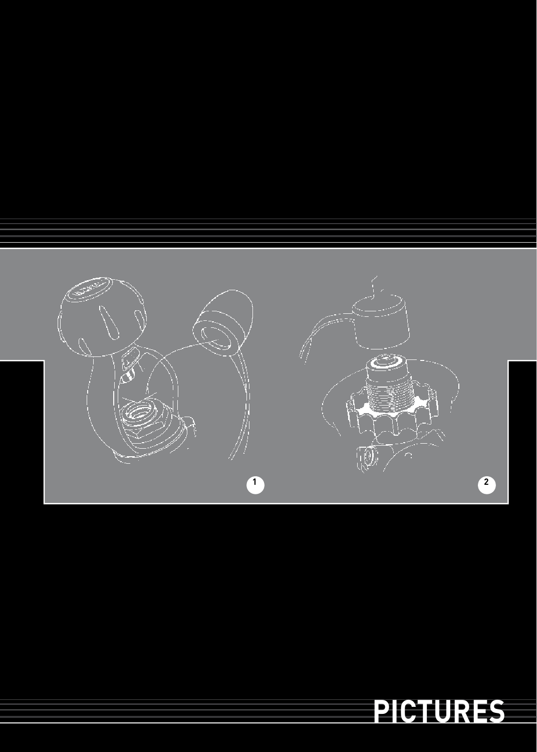

# **pictures**